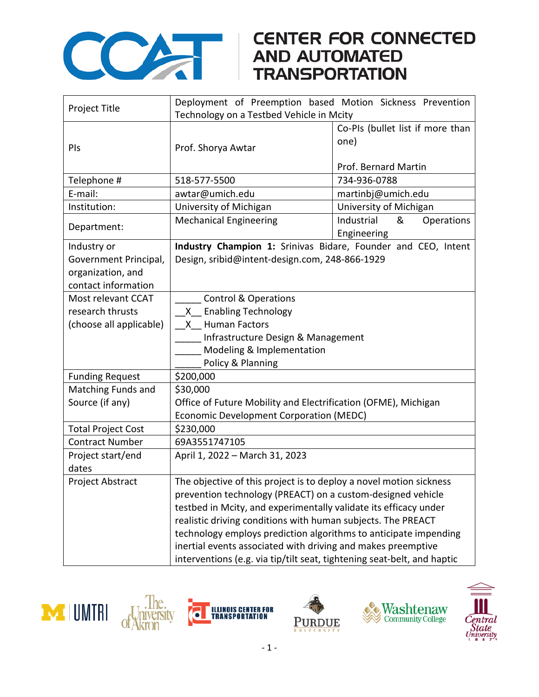

## COMPARE CONNECTED<br>AND AUTOMATED<br>TRANSPORTATION

| Project Title             | Deployment of Preemption based Motion Sickness Prevention               |                                  |
|---------------------------|-------------------------------------------------------------------------|----------------------------------|
|                           | Technology on a Testbed Vehicle in Mcity                                |                                  |
|                           |                                                                         | Co-PIs (bullet list if more than |
| PIs                       | Prof. Shorya Awtar                                                      | one)                             |
|                           |                                                                         |                                  |
|                           |                                                                         | Prof. Bernard Martin             |
| Telephone #               | 518-577-5500                                                            | 734-936-0788                     |
| E-mail:                   | awtar@umich.edu                                                         | martinbj@umich.edu               |
| Institution:              | University of Michigan                                                  | University of Michigan           |
| Department:               | <b>Mechanical Engineering</b>                                           | Industrial<br>&<br>Operations    |
|                           |                                                                         | Engineering                      |
| Industry or               | Industry Champion 1: Srinivas Bidare, Founder and CEO, Intent           |                                  |
| Government Principal,     | Design, sribid@intent-design.com, 248-866-1929                          |                                  |
| organization, and         |                                                                         |                                  |
| contact information       |                                                                         |                                  |
| Most relevant CCAT        | <b>Control &amp; Operations</b>                                         |                                  |
| research thrusts          | X Enabling Technology                                                   |                                  |
| (choose all applicable)   | X Human Factors                                                         |                                  |
|                           | Infrastructure Design & Management                                      |                                  |
|                           | Modeling & Implementation                                               |                                  |
|                           | Policy & Planning                                                       |                                  |
| <b>Funding Request</b>    | \$200,000                                                               |                                  |
| Matching Funds and        | \$30,000                                                                |                                  |
| Source (if any)           | Office of Future Mobility and Electrification (OFME), Michigan          |                                  |
|                           | <b>Economic Development Corporation (MEDC)</b>                          |                                  |
| <b>Total Project Cost</b> | \$230,000                                                               |                                  |
| <b>Contract Number</b>    | 69A3551747105                                                           |                                  |
| Project start/end         | April 1, 2022 - March 31, 2023                                          |                                  |
| dates                     |                                                                         |                                  |
| <b>Project Abstract</b>   | The objective of this project is to deploy a novel motion sickness      |                                  |
|                           | prevention technology (PREACT) on a custom-designed vehicle             |                                  |
|                           | testbed in Mcity, and experimentally validate its efficacy under        |                                  |
|                           | realistic driving conditions with human subjects. The PREACT            |                                  |
|                           | technology employs prediction algorithms to anticipate impending        |                                  |
|                           | inertial events associated with driving and makes preemptive            |                                  |
|                           | interventions (e.g. via tip/tilt seat, tightening seat-belt, and haptic |                                  |











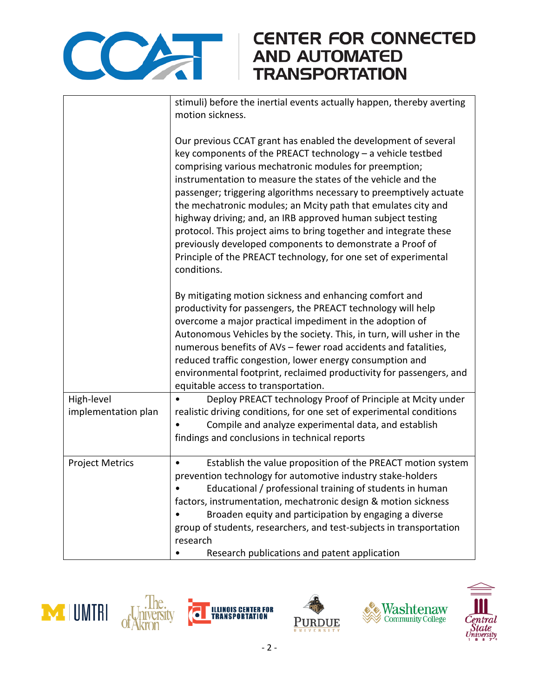

## **CENTER FOR CONNECTED**

|                                   | stimuli) before the inertial events actually happen, thereby averting<br>motion sickness.                                                                                                                                                                                                                                                                                                                                                                                                                                                                                                                                                                                         |
|-----------------------------------|-----------------------------------------------------------------------------------------------------------------------------------------------------------------------------------------------------------------------------------------------------------------------------------------------------------------------------------------------------------------------------------------------------------------------------------------------------------------------------------------------------------------------------------------------------------------------------------------------------------------------------------------------------------------------------------|
|                                   | Our previous CCAT grant has enabled the development of several<br>key components of the PREACT technology - a vehicle testbed<br>comprising various mechatronic modules for preemption;<br>instrumentation to measure the states of the vehicle and the<br>passenger; triggering algorithms necessary to preemptively actuate<br>the mechatronic modules; an Mcity path that emulates city and<br>highway driving; and, an IRB approved human subject testing<br>protocol. This project aims to bring together and integrate these<br>previously developed components to demonstrate a Proof of<br>Principle of the PREACT technology, for one set of experimental<br>conditions. |
|                                   | By mitigating motion sickness and enhancing comfort and<br>productivity for passengers, the PREACT technology will help<br>overcome a major practical impediment in the adoption of<br>Autonomous Vehicles by the society. This, in turn, will usher in the<br>numerous benefits of AVs - fewer road accidents and fatalities,<br>reduced traffic congestion, lower energy consumption and<br>environmental footprint, reclaimed productivity for passengers, and<br>equitable access to transportation.                                                                                                                                                                          |
| High-level<br>implementation plan | Deploy PREACT technology Proof of Principle at Mcity under<br>realistic driving conditions, for one set of experimental conditions<br>Compile and analyze experimental data, and establish<br>findings and conclusions in technical reports                                                                                                                                                                                                                                                                                                                                                                                                                                       |
| <b>Project Metrics</b>            | Establish the value proposition of the PREACT motion system<br>$\bullet$<br>prevention technology for automotive industry stake-holders<br>Educational / professional training of students in human<br>factors, instrumentation, mechatronic design & motion sickness<br>Broaden equity and participation by engaging a diverse<br>group of students, researchers, and test-subjects in transportation<br>research<br>Research publications and patent application                                                                                                                                                                                                                |